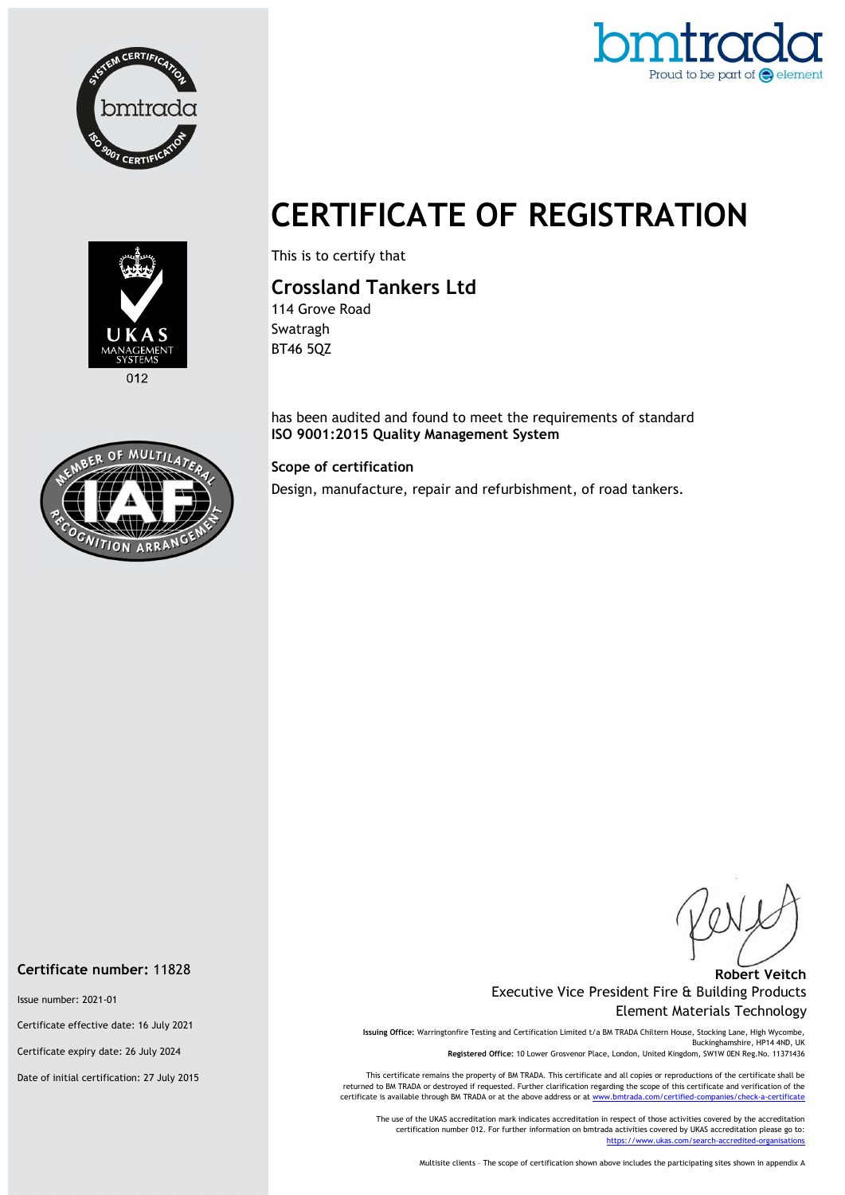



## CERTIFICATE OF REGISTRATION



012

This is to certify that

## Crossland Tankers Ltd

114 Grove Road Swatragh BT46 5QZ

has been audited and found to meet the requirements of standard ISO 9001:2015 Quality Management System

Scope of certification

Design, manufacture, repair and refurbishment, of road tankers.

## Robert Veitch Executive Vice President Fire & Building Products Element Materials Technology

Issuing Office: Warringtonfire Testing and Certification Limited t/a BM TRADA Chiltern House, Stocking Lane, High Wycombe, Buckinghamshire, HP14 4ND, UK Registered Office: 10 Lower Grosvenor Place, London, United Kingdom, SW1W 0EN Reg.No. 11371436

This certificate remains the property of BM TRADA. This certificate and all copies or reproductions of the certificate shall be returned to BM TRADA or destroyed if requested. Further clarification regarding the scope of this certificate and verification of the certificate is available through BM TRADA or at the above address or at www.bmtrada.com/certified-companies/check-a-certificate

The use of the UKAS accreditation mark indicates accreditation in respect of those activities covered by the accreditation certification number 012. For further information on bmtrada activities covered by UKAS accreditation please go to: https://www.ukas.com/search-accredited-organisations

Multisite clients – The scope of certification shown above includes the participating sites shown in appendix A



Issue number: 2021-01

Certificate effective date: 16 July 2021

Certificate expiry date: 26 July 2024

Date of initial certification: 27 July 2015